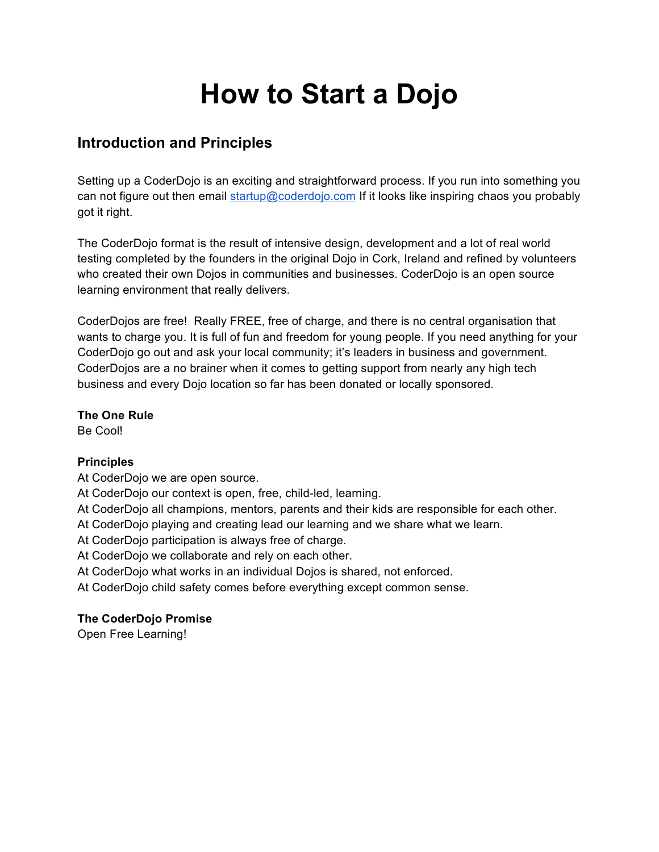# **How to Start a Dojo**

## **Introduction and Principles**

Setting up a CoderDojo is an exciting and straightforward process. If you run into something you can not figure out then email startup@coderdojo.com If it looks like inspiring chaos you probably got it right.

The CoderDojo format is the result of intensive design, development and a lot of real world testing completed by the founders in the original Dojo in Cork, Ireland and refined by volunteers who created their own Dojos in communities and businesses. CoderDojo is an open source learning environment that really delivers.

CoderDojos are free! Really FREE, free of charge, and there is no central organisation that wants to charge you. It is full of fun and freedom for young people. If you need anything for your CoderDojo go out and ask your local community; it's leaders in business and government. CoderDojos are a no brainer when it comes to getting support from nearly any high tech business and every Dojo location so far has been donated or locally sponsored.

**The One Rule** Be Cool!

#### **Principles**

At CoderDojo we are open source.

At CoderDojo our context is open, free, child-led, learning.

At CoderDojo all champions, mentors, parents and their kids are responsible for each other.

At CoderDojo playing and creating lead our learning and we share what we learn.

At CoderDojo participation is always free of charge.

At CoderDojo we collaborate and rely on each other.

At CoderDojo what works in an individual Dojos is shared, not enforced.

At CoderDojo child safety comes before everything except common sense.

#### **The CoderDojo Promise**

Open Free Learning!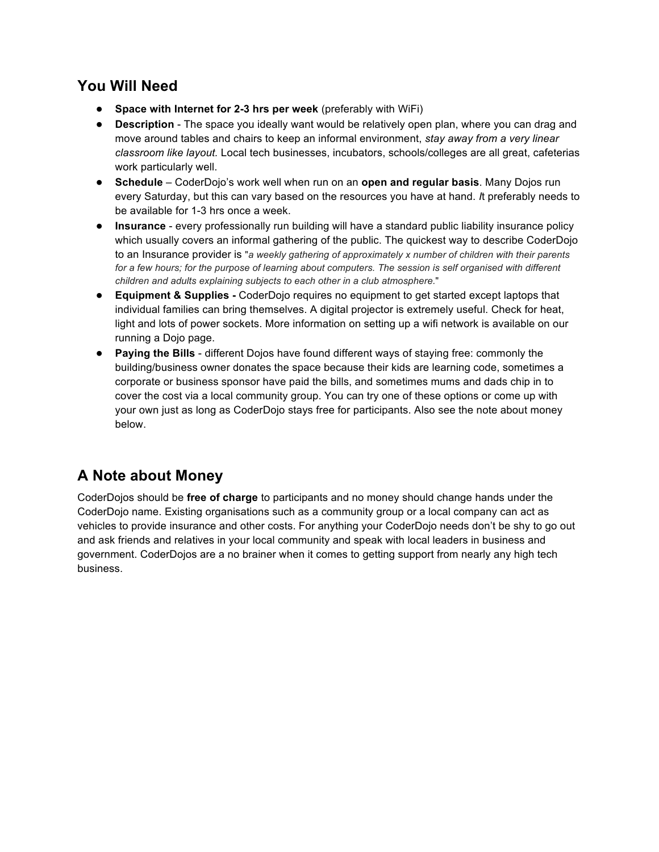## **You Will Need**

- **Space with Internet for 2-3 hrs per week** (preferably with WiFi)
- **Description** The space you ideally want would be relatively open plan, where you can drag and move around tables and chairs to keep an informal environment, *stay away from a very linear classroom like layout.* Local tech businesses, incubators, schools/colleges are all great, cafeterias work particularly well.
- **Schedule** CoderDojo's work well when run on an **open and regular basis**. Many Dojos run every Saturday, but this can vary based on the resources you have at hand. *I*t preferably needs to be available for 1-3 hrs once a week.
- **Insurance** every professionally run building will have a standard public liability insurance policy which usually covers an informal gathering of the public. The quickest way to describe CoderDojo to an Insurance provider is "*a weekly gathering of approximately x number of children with their parents for a few hours; for the purpose of learning about computers. The session is self organised with different children and adults explaining subjects to each other in a club atmosphere.*"
- **Equipment & Supplies -** CoderDojo requires no equipment to get started except laptops that individual families can bring themselves. A digital projector is extremely useful. Check for heat, light and lots of power sockets. More information on setting up a wifi network is available on our running a Dojo page.
- **Paying the Bills**  different Dojos have found different ways of staying free: commonly the building/business owner donates the space because their kids are learning code, sometimes a corporate or business sponsor have paid the bills, and sometimes mums and dads chip in to cover the cost via a local community group. You can try one of these options or come up with your own just as long as CoderDojo stays free for participants. Also see the note about money below.

## **A Note about Money**

CoderDojos should be **free of charge** to participants and no money should change hands under the CoderDojo name. Existing organisations such as a community group or a local company can act as vehicles to provide insurance and other costs. For anything your CoderDojo needs don't be shy to go out and ask friends and relatives in your local community and speak with local leaders in business and government. CoderDojos are a no brainer when it comes to getting support from nearly any high tech business.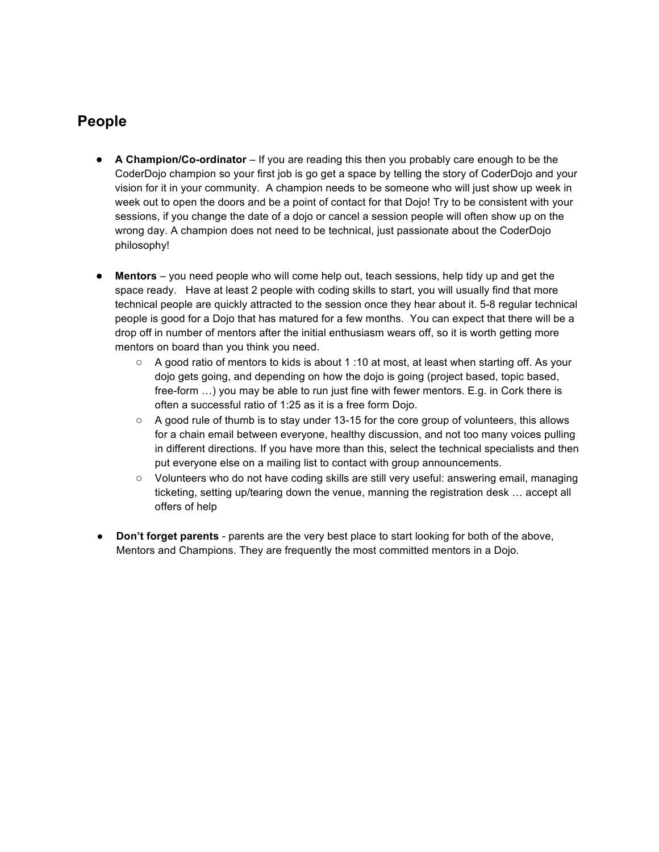#### **People**

- **A Champion/Co-ordinator** If you are reading this then you probably care enough to be the CoderDojo champion so your first job is go get a space by telling the story of CoderDojo and your vision for it in your community. A champion needs to be someone who will just show up week in week out to open the doors and be a point of contact for that Dojo! Try to be consistent with your sessions, if you change the date of a dojo or cancel a session people will often show up on the wrong day. A champion does not need to be technical, just passionate about the CoderDojo philosophy!
- **Mentors** you need people who will come help out, teach sessions, help tidy up and get the space ready. Have at least 2 people with coding skills to start, you will usually find that more technical people are quickly attracted to the session once they hear about it. 5-8 regular technical people is good for a Dojo that has matured for a few months. You can expect that there will be a drop off in number of mentors after the initial enthusiasm wears off, so it is worth getting more mentors on board than you think you need.
	- $\circ$  A good ratio of mentors to kids is about 1:10 at most, at least when starting off. As your dojo gets going, and depending on how the dojo is going (project based, topic based, free-form …) you may be able to run just fine with fewer mentors. E.g. in Cork there is often a successful ratio of 1:25 as it is a free form Dojo.
	- A good rule of thumb is to stay under 13-15 for the core group of volunteers, this allows for a chain email between everyone, healthy discussion, and not too many voices pulling in different directions. If you have more than this, select the technical specialists and then put everyone else on a mailing list to contact with group announcements.
	- Volunteers who do not have coding skills are still very useful: answering email, managing ticketing, setting up/tearing down the venue, manning the registration desk … accept all offers of help
- **● Don't forget parents**  parents are the very best place to start looking for both of the above, Mentors and Champions. They are frequently the most committed mentors in a Dojo.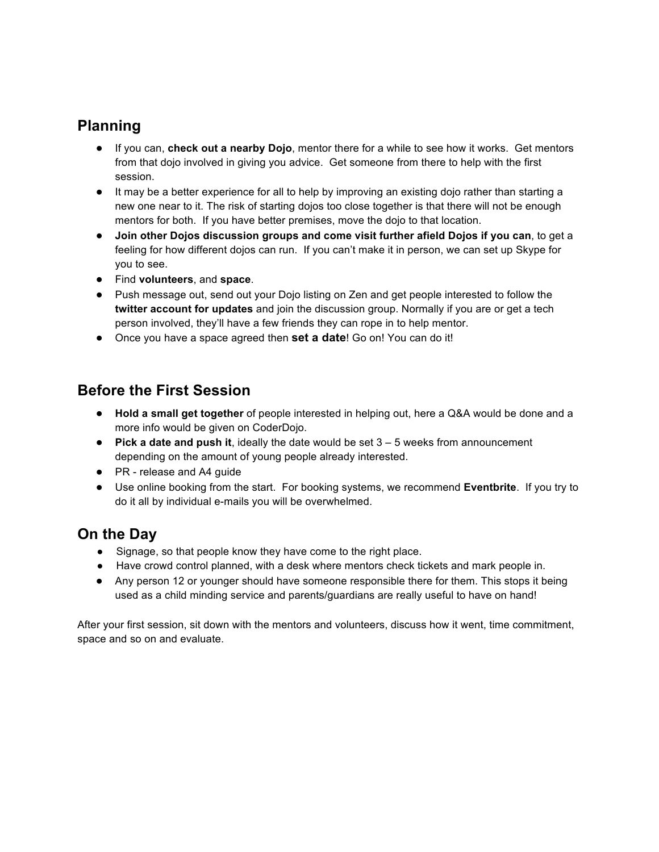## **Planning**

- If you can, **check out a nearby Dojo**, mentor there for a while to see how it works. Get mentors from that dojo involved in giving you advice. Get someone from there to help with the first session.
- It may be a better experience for all to help by improving an existing dojo rather than starting a new one near to it. The risk of starting dojos too close together is that there will not be enough mentors for both. If you have better premises, move the dojo to that location.
- **Join other Dojos discussion groups and come visit further afield Dojos if you can**, to get a feeling for how different dojos can run. If you can't make it in person, we can set up Skype for you to see.
- Find **volunteers**, and **space**.
- Push message out, send out your Dojo listing on Zen and get people interested to follow the **twitter account for updates** and join the discussion group. Normally if you are or get a tech person involved, they'll have a few friends they can rope in to help mentor.
- Once you have a space agreed then **set a date**! Go on! You can do it!

## **Before the First Session**

- **Hold a small get together** of people interested in helping out, here a Q&A would be done and a more info would be given on CoderDojo.
- **Pick a date and push it**, ideally the date would be set 3 5 weeks from announcement depending on the amount of young people already interested.
- PR release and A4 guide
- Use online booking from the start. For booking systems, we recommend **Eventbrite**. If you try to do it all by individual e-mails you will be overwhelmed.

### **On the Day**

- Signage, so that people know they have come to the right place.
- Have crowd control planned, with a desk where mentors check tickets and mark people in.
- Any person 12 or younger should have someone responsible there for them. This stops it being used as a child minding service and parents/guardians are really useful to have on hand!

After your first session, sit down with the mentors and volunteers, discuss how it went, time commitment, space and so on and evaluate.